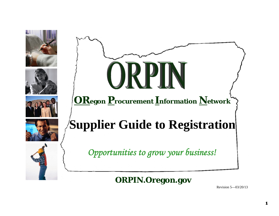





**ORegon Procurement Information Network**





**Supplier Guide to Registration** 

 *Opportunities to grow your business!* 

**ORPIN.Oregon.gov** 

Revision 5—03/20/13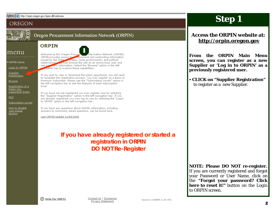#### Address **&** http://orpin.oregon.gov/open.dll/welcome

### OREGON



Oregon Procurement Information Network (ORPIN)

### menu

#### ▶ORPIN Home

Login to ORPIN

**Supplier Registration** 

**Browse** 

Registration of a Public (tax supported) Entity

FAQ.

Subscription Levels

How to disable your popup blocker<sup>1</sup>

## **ORPIN**

1 Welcome to the Oregon Procure Information Network (ORPIN). ORPIN provides access to socurement and contracting information issued by the State oregon, local governments, and political subdivisions. You may browse the site as an anonymous user and see surviviry information. Select the "Browse" option in the left auation bar to explore these capabilities.

If you wish to view or download the entire opportunity you will need to complete the registration process. You may register as a Basic or Premium Subscriber. Please see the "Subscription Levels" option in the left navigation bar to see the features of each subscription level.

If you have not yet registered you may register now by selecting the "Supplier Registration" option in the left navigation bar. If you are already registered you may log on now by selecting the "Logon" to ORPIN" option in the left navigation bar.

If you have any questions about ORPIN, information, including answers to commonly asked questions, can be found here.

Last ORPIN Update 11/04/2006

**If you have already registered or started a registration in ORPIN DO NOT Re-Register** 

## **Step 1**

### **Access the ORPIN website at: http://orpin.oregon.gov**

**From the ORPIN Main Menu screen, you can register as a new Supplier or 'Log in to ORPIN' as a previously registered user.** 

 *CLICK* **on "Supplier Registration"**  to register as a new Supplier.

### **NOTE: Please DO NOT re-register.**  If you are currently registered and forgot your Password or User Name, click on the **"Forgot your password? Click here to reset it!"** button on the *Login to ORPIN* screen.

(?) Help for ORPIN

Contact Us | Disclaimer Privacy Statement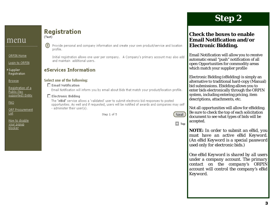#### ORPIN Home

Login to ORPIN

▶Supplier Registration

**Browse** 

Registration of a Public (tax supported) Entity

FAQ.

**QRF Procurement** List

How to disable your popup blocker

### **Registration**  $(Test)$

Provide personal and company information and create your own product/service and location  $(?)$ profile.

Initial registration allows one user per company. A Company's primary account may also add and maintain additional users.

### eServices Information

#### Select one of the following:

 $\Box$  Email Notification

Email Notification will inform you by email about Bids that match your product/location profile.

#### $\Box$  Electronic Bidding

The 'eBid' service allows a 'validated' user to submit electronic bid responses to posted opportunities. As well and if requested, users will be notified of awards and companies may self - administer their user(s).

Step 1 of 5



 $\Gamma$  Top

# **Step 2**

## **Check the boxes to enable Email Notification and/or Electronic Bidding.**

Email Notification will allow you to receive automatic email "push" notification of all open Opportunities for commodity areas which match your supplier profile

Electronic Bidding (eBidding) is simply an alternative to traditional hard-copy (Manual) bid submissions. Ebidding allows you to enter bids electronically through the ORPIN system, including entering pricing, item descriptions, attachments, etc.

Not all opportunities will allow for eBidding. Be sure to check the top of each solicitation document to see what types of bids will be accepted.

**NOTE:** *In order to submit an eBid, you must have an active eBid Keyword. (An eBid Keyword is a special password used only for electronic bids.)* 

*One eBid Keyword is shared by all users under a company account. The primary contact on the company's ORPIN account will control the company's eBid Keyword.*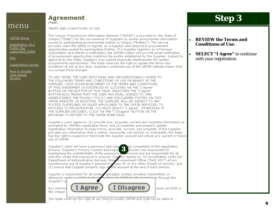ORPIN Home

Registration of a Public (tax supported) Entity

FAQ.

Subscription Levels

How to disable your popup blocker

Agreement (Test)

TERMS AND CONDITIONS OF USE

The Oregon Procurement Information Network ("ORPIN") is provided by the State of Oregon ("State") for the convenience of Suppliers to access procurement information issued by participating governmental entities in Oregon ("Entities"). The service provides users the ability to register as a Supplier and respond to procurement opportunities posted by participating Entities. If a Supplier registers as a Premium Subscription and selects e-notification, the ORPIN system will provide email notification. of procurement opportunities matching the profile established by the Supplier. Subject to approval by the State, Suppliers may submit proposals electronically for certain procurement opportunities. The State reserves the right to update the terms and conditions of use at any time. Supplier's continued use of the ORPIN website means that you accept those changes.

TO USE ORPIN, THE USER MUST READ AND UNCONDITIONALLY AGREE TO THE FOLLOWING TERMS AND CONDITIONS OF USE ON BEHALF OF THE SUPPLIER, YOUR ACKNOWLEDGMENT OF THE TERMS AND CONDITIONS OF THIS AGREEMENT IS EVIDENCED BY CLICKING ON THE "I Agree" BUTTON ON THE BOTTOM OF THIS PAGE. SELECTING THE "I Agree" BUTTON ALSO MEANS THAT THE USER HAS READ, AGREES TO, AND UNDERSTANDS THE PRIVACY POLICY AND DISCLAIMER POSTED ON THIS ORPIN WEBSITE. IN ADDITION, THE SUPPLIER WILL BE SUBJECT TO ANY POSTED GUIDELINES OR RULES APPLICABLE TO THE ORPIN SERVICES. TO PROCEED TO REGISTRATION. YOU MUST SELECT "I Agree", OTHERWISE, IF THE SUPPLIER DECLINES, CLICK ON THE "I Disagree" BUTTON ON THE BROWSER TO RETURN TO THE ORPIN HOME PAGE.

Supplier's users agree to: (1) provide true, accurate, current and complete information as prompted by ORPIN's registration form; and (2) maintain and properly update registration information to keep it true, accurate, current, and complete. If the Supplier provides any information that is untrue, inaccurate, not current, or incomplete, the State has the right to suspend or terminate the Supplier account and refuse any current or future use of ORPIN.

Supplier's users will have a password and user **the properties of the registration**<br>process. Supplier's Primary Contact and regist **the property of the responsible for**<br>maintaining the confidentiality of the password **and** activities under that password or account. Supplier agrees to: (1) immediately notify the Department of Administrative Services State Procurement Office ("DAS SPO") of any unauthorized use of Supplier's password of user ID or any other breach of security; and<br>(2) ensure that Supplier properly logs of the account at the end of each session.

Supplier is responsible for all content uploaded, posted, emailed, transmitted, or otherwise m or through the l

Supplier's ar Any informa the Oregon



nents set forth in

The State reserves the right at any time to modify ORPIN and shall not be liable to  $\mathbb{R}^n \subset \mathbb{R}^n$  .

## **Step 3**

### *REVIEW* **the Terms and Conditions of Use.**

 $\bullet$  *SELECT* **"I Agree"** to continue with your registration.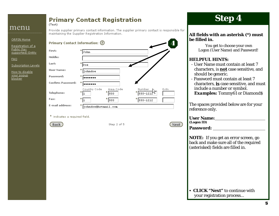#### **Primary Contact Registration** (Test)

## menu

ORPIN Home

#### Provide supplier primary contact information. The supplier primary contact is responsible for maintaining the Supplier Registration Information.

| Registration of a |  |
|-------------------|--|
| Public (tax       |  |

|  | . |                   |
|--|---|-------------------|
|  |   |                   |
|  |   | supported) Entity |
|  |   |                   |

**FAQ** 

Subscription Levels

How to disable your popup blocker

| Primary Contact Information: (?) |                          |                       |                         |      |
|----------------------------------|--------------------------|-----------------------|-------------------------|------|
| First:                           | ж<br>John                |                       |                         |      |
| Middle:                          |                          |                       |                         |      |
| Last:                            | ж<br>Doe                 |                       |                         |      |
| <b>User Name:</b>                | ∗<br>johndoe             |                       |                         |      |
| Password:                        | ∗                        |                       |                         |      |
| <b>Confirm Password:</b>         | ∗                        |                       |                         |      |
| <b>Telephone:</b>                | Country Code<br>*.       | Area Code<br>ж<br>503 | Number<br>*<br>555-1212 | Extn |
| Fax:                             | $*_{\mathbf{b}}$         | 503                   | ж<br>$ 555 - 1212 $     |      |
| E-mail address:                  | ж<br>johndoe@hotmail.com |                       |                         |      |

\* indicates a required field.



Step 2 of 5

**Step 4**

### **All fields with an asterisk (\*) must be filled in.**

 You get to choose your own Logon (User Name) and Password!

### *HELPFUL HINTS:*

- User Name must contain at least 7 characters, is **not** case sensitive, and should be generic.
- Password must contain at least 7 characters, **is** case sensitive, and must include a number or symbol. *Examples:* Tommy61 or Diamond\$

The spaces provided below are for your reference only.

**User Name: (Logon ID)**

**Password:** 

Next

**NOTE:** If you get an error screen, go back and make sure all of the required (asterisked) fields are filled in.

• *CLICK* "Next" to continue with your registration process...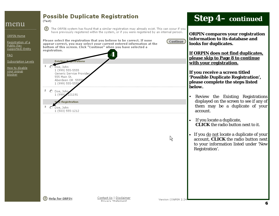| menu                                                                                                                                                | <b>Possible Duplicate Registration</b><br>(Test)                                                                                                                                                                                                                                    |                                                                                                                                                                                                                                                                                                                                                       |                     | <b>Step 4- continued</b>                                                                                                                                                                                                                                                                                                                                                          |
|-----------------------------------------------------------------------------------------------------------------------------------------------------|-------------------------------------------------------------------------------------------------------------------------------------------------------------------------------------------------------------------------------------------------------------------------------------|-------------------------------------------------------------------------------------------------------------------------------------------------------------------------------------------------------------------------------------------------------------------------------------------------------------------------------------------------------|---------------------|-----------------------------------------------------------------------------------------------------------------------------------------------------------------------------------------------------------------------------------------------------------------------------------------------------------------------------------------------------------------------------------|
| <b>ORPIN Home</b><br>Registration of a<br>Public (tax<br>supported) Entity<br>EAO<br>Subscription Levels<br>How to disable<br>your popup<br>blocker | (?)<br>bottom of this screen. Click "Continue" when you have selected a<br>registration.<br><b>Existing</b><br>rations<br>O Doe, John<br>1 (999) 555-5555<br>Generic Service Provider<br>555 Main St.<br>Aberdeen OR 5555<br>1 (999) 555-55<br>2<br>O Doe, John<br>1(999)<br>221191 | The ORPIN system has found that a similar registration may already exist. This can occur if you<br>have previously registered within the system, or if you were registered by an internal person.<br>Please select the registration that you believe to be correct. If none<br>appear correct, you may select your current entered information at the | Continue            | <b>ORPIN compares your registration</b><br>information to its database and<br>looks for duplicates.<br>If ORPIN does not find duplicates,<br>please skip to Page 8 to continue<br>with your registration.<br>If you receive a screen titled<br>'Possible Duplicate Registration',<br>please complete the steps listed<br>below.<br>Review the Existing Registrations<br>$\bullet$ |
|                                                                                                                                                     | w Registration<br>з<br>O Doe, John<br>1 (503) 555-1212                                                                                                                                                                                                                              |                                                                                                                                                                                                                                                                                                                                                       |                     | displayed on the screen to see if any of<br>them may be a duplicate of your<br>account.<br>If you locate a duplicate,<br><b>CLICK</b> the radio button next to it.                                                                                                                                                                                                                |
|                                                                                                                                                     |                                                                                                                                                                                                                                                                                     |                                                                                                                                                                                                                                                                                                                                                       | ☆                   | • If you do not locate a duplicate of your<br>account, <b>CLICK</b> the radio button next<br>to your information listed under 'New<br>Registration'.                                                                                                                                                                                                                              |
|                                                                                                                                                     | (?) Help for ORPIN                                                                                                                                                                                                                                                                  | Contact Us   Disclaimer<br>Privaor Statement                                                                                                                                                                                                                                                                                                          | Version (O&PEN 2.24 | 6                                                                                                                                                                                                                                                                                                                                                                                 |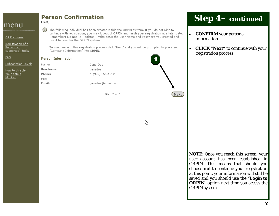ORPIN Home

<u>Registration of a</u> Public (tax supported) Entity

EAQ

Subscription Levels

<u>How to disable</u> your popup. blocker

⊘ The following individual has been created within the ORPIN system. If you do not wish to continue with registration, you may logout of ORPIN and finish your registration at a later date. Remember: Do Not Re-Register - Write down the User Name and Password you created and use it to re-enter the ORPIN system.

To continue with this registration process click "Next" and you will be prompted to place your "Company Information" into ORPIN.

4

R

Next

#### **Person Information**

(Test)

Name:

Phone:

Fax: Email:

**User Name:** 

**Person Confirmation** 

Jane Doe janedoe 1 (999) 555-1212

janedoe@email.com

Step 2 of 5

## **Step 4–** *continued*

- $\bullet$  *CONFIRM* your personal information
- $\bullet$  *CLICK* **"Next"** to continue with your registration process

**NOTE:** Once you reach this screen, your user account has been established in ORPIN. This means that should you choose **not** to continue your registration at this point, your information will still be saved and you should use the "**Login to ORPIN**" option next time you access the ORPIN system.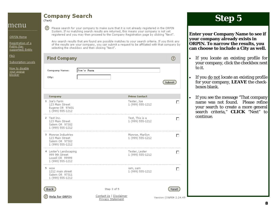**Company Search** 

(Test)

 $\circledR$ 

ORPIN Home

Registration of a Public (tax supported) Entity

FAQ.

#### Subscription Levels

How to disable your popup blocker

|                                                                                 | of the results are your company, you can submit a request to be affiliated with that company by<br>selecting the checkbox and then clicking "Next". |                      |
|---------------------------------------------------------------------------------|-----------------------------------------------------------------------------------------------------------------------------------------------------|----------------------|
| <b>Find Company</b>                                                             |                                                                                                                                                     | ⊙                    |
| <b>Company Name:</b><br>City:                                                   | Joe's Farm                                                                                                                                          | Submit               |
| Company                                                                         | <b>Prime Contact</b>                                                                                                                                |                      |
| 1 Joe's Farm<br>123 Main Street<br>Eugene OR 97401<br>1 (999) 555-1212          | Tester, Joe<br>1 (999) 555-1212                                                                                                                     |                      |
| 2 Test Inc.<br>123 Main Street<br>Salem OR 97302<br>1 (999) 555-1212            | Test, This is a<br>1 (999) 555-1212                                                                                                                 | П                    |
| 3 Monroe Industries<br>123 Main Street<br>Salem OR 97302<br>1 (999) 555-1212    | Monroe, Marilyn<br>1 (999) 555-1212                                                                                                                 | П                    |
| 4 Lester's Landscaping<br>999 9th Street<br>Lowell OR 99999<br>1 (999) 555-1212 | Tester, Lester<br>1 (999) 555-1212                                                                                                                  | П                    |
| 5 wow<br>1212 main street<br>Salem OR 97311<br>1 (999) 555-1212                 | iam, sam<br>1 (999) 555-1212                                                                                                                        | п                    |
| <b>Back</b>                                                                     | Step 3 of 5                                                                                                                                         | Next                 |
| <b>Help for ORPIN</b>                                                           | Contact Us   Disclaimer<br>Privacy Statement                                                                                                        | Version (O&PEN 2.24. |

Please search for your company to make sure that it is not already registered in the ORPIN System. If no matching search results are returned, this means your company is not yet registered and you may then proceed to the Company Registration page by clicking "Next".

Any search results that are found are possible matches to your search criteria. If you think any

## **Step 5**

**Enter your Company Name to see if your company already exists in ORPIN. To narrow the results, you can choose to include a City as well.** 

- If you locate an existing profile for your company, click the checkbox next to it.
- If you <u>do not</u> locate an existing profile for your company, *LEAVE* the checkboxes blank.

 If you see the message "That company name was not found. Please refine your search to create a more general search criteria," *CLICK "*Next" to continue.

49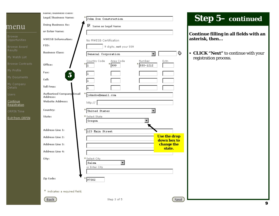|                                | name/pusiness class:                        |                                                                 |                                    |
|--------------------------------|---------------------------------------------|-----------------------------------------------------------------|------------------------------------|
|                                | Legal/Business Name:                        | John Doe Construction                                           |                                    |
| menu                           | <b>Doing Business As:</b>                   | $\nabla$ Same as Legal Name                                     |                                    |
|                                | or Enter Name:                              |                                                                 |                                    |
| <b>Browse</b><br>Opportunities | <b>MWESB Information:</b>                   | No MWESB Certification                                          |                                    |
| <b>Browse Award</b>            | FID:                                        | 9 digits, not your SSN                                          |                                    |
| <b>Results</b>                 | <b>Business Class:</b>                      | General Corporation                                             | ♦<br>$\overline{\phantom{a}}$      |
| My Watch List                  |                                             | Country Code<br>Number<br>Area Code                             | Extn                               |
| <b>Browse Contracts</b>        | Office:                                     | ∗<br>*<br>555-1212<br>999.<br>ı                                 |                                    |
| My Profile                     | Fax:<br>$\overline{\mathbf{5}}$             |                                                                 |                                    |
| My Documents                   | Cell:                                       |                                                                 |                                    |
| My Company<br>Details          | <b>Toll Free:</b>                           |                                                                 |                                    |
| Users.                         | <b>Authorized Company Email</b><br>Address: | johndoe@email.com                                               |                                    |
| Continue<br>Registration       | <b>Website Address:</b>                     | http://                                                         |                                    |
| ORPIN Time                     | Country:                                    | United States                                                   |                                    |
| <b>Exit from ORPIN</b>         | State:                                      | * Select State<br>Oregon                                        |                                    |
|                                | <b>Address Line 1:</b>                      | 123 Main Street                                                 |                                    |
|                                | Address Line 2:                             |                                                                 | <b>Use the drop</b><br>down box to |
|                                | <b>Address Line 3:</b>                      |                                                                 | change the                         |
|                                | <b>Address Line 4:</b>                      |                                                                 | state.                             |
|                                | City:                                       | * Select City<br>$\blacktriangledown$<br>Salem<br>or Enter City |                                    |
|                                | Zip Code:                                   | 97302                                                           |                                    |
|                                | * indicates a required field.               |                                                                 |                                    |
|                                | <b>Back</b>                                 | Step 3 of 5                                                     | Next                               |

# **Step 5–** *continued*

**Continue filling in all fields with an asterisk, then...** 

 *CLICK* **"Next"** to continue with your istration process.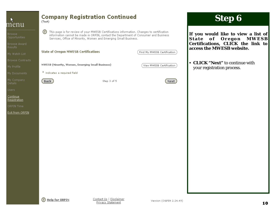| menu                                   | (Test)                                           | <b>Company Registration Continued</b>                                                                                                                                                                                                                  |                             | <b>Step 6</b>                                                          |
|----------------------------------------|--------------------------------------------------|--------------------------------------------------------------------------------------------------------------------------------------------------------------------------------------------------------------------------------------------------------|-----------------------------|------------------------------------------------------------------------|
| Browse<br>Opportunities                | ◎                                                | This page is for review of your MWESB Certifications information. Changes to certification<br>information cannot be made in ORPIN, contact the Department of Consumer and Business<br>Services, Office of Minority, Women and Emerging Small Business. |                             | If you would like to view a list of<br>of Oregon MWESB<br><b>State</b> |
| Browse Award<br>Results                |                                                  |                                                                                                                                                                                                                                                        |                             | Certifications, CLICK the link to<br>access the MWESB website.         |
| My Watch List                          | <b>State of Oregon MWESB Certifications</b>      |                                                                                                                                                                                                                                                        | Find My MWESB Certification |                                                                        |
| <b>Browse Contracts</b>                |                                                  |                                                                                                                                                                                                                                                        |                             | <b>CLICK "Next"</b> to continue with<br>$\bullet$                      |
| My Profile                             | MWESB (Minority, Women, Emerging Small Business) |                                                                                                                                                                                                                                                        | View MWESB Certification    | your registration process.                                             |
| My Documents                           | * indicates a required field                     |                                                                                                                                                                                                                                                        |                             |                                                                        |
| My Company<br>Details                  | (Back)                                           | Step 3 of 5                                                                                                                                                                                                                                            | <b>Next</b>                 |                                                                        |
| Users:                                 |                                                  |                                                                                                                                                                                                                                                        |                             |                                                                        |
| <u>Continue</u><br><u>Registration</u> |                                                  |                                                                                                                                                                                                                                                        |                             |                                                                        |
| ORPIN Time                             |                                                  |                                                                                                                                                                                                                                                        |                             |                                                                        |
| <b>Exit from ORPIN</b>                 |                                                  |                                                                                                                                                                                                                                                        |                             |                                                                        |
|                                        |                                                  |                                                                                                                                                                                                                                                        |                             |                                                                        |
|                                        |                                                  |                                                                                                                                                                                                                                                        |                             |                                                                        |
|                                        |                                                  |                                                                                                                                                                                                                                                        |                             |                                                                        |
|                                        |                                                  |                                                                                                                                                                                                                                                        |                             |                                                                        |
|                                        |                                                  |                                                                                                                                                                                                                                                        |                             |                                                                        |
|                                        |                                                  |                                                                                                                                                                                                                                                        |                             |                                                                        |
|                                        |                                                  |                                                                                                                                                                                                                                                        |                             |                                                                        |
|                                        |                                                  |                                                                                                                                                                                                                                                        |                             |                                                                        |
|                                        | <b>(?)</b> Help for ORPIN                        | Contact Us   Disclaimer<br><b>Privacy Statement</b>                                                                                                                                                                                                    | Version (O&PEN 2.24.49)     | 10                                                                     |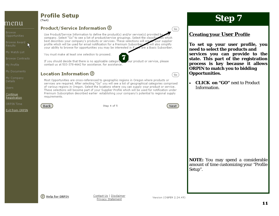## **Profile Setup**

(Test)

### Product/Service Information ②

Use Product/Service Information to define the product(s) and/or service(s) provided by company. Select "Go" to see a list of product/service groupings. Select the classific which best describes your company's products or services. These selections will create your supplier profile which will be used for email notification for a Premium Subscriber and will also simplify your ability to browse for opportunities you may be interested in if you are a Basic Subscriber.

You must make at least one selection to proceed.

Location Information (?)



**Browse Contracts** 

R.

My Documents

menu

Opportunities

Browse Award

**Browse** 

**Details** 

**Users** 

**Continue** Registration

ORPIN Time

Exit from ORPIN

If you should decide that there is no applicable category your product or service, please contact us at 503-378-4642 for assistance, for assistance,

Most Opportunities are cross-referenced to geographic regions in Oregon where products or services are required. After selecting "Go" you will see a list of geographical categories comprised of various regions in Oregon. Select the locations where you can supply your product or service. These selections will become part of your Supplier Profile which will be used for notification under Premium Subscription described earlier establishing your company's potential to regional supply requirements.

**Back** 

Step 4 of 5

**Next** 

΄Go<sup>1</sup>

Go

**Step 7** 

### **Creating your User Profile**

To set up your user profile, you need to select the products and services you can provide to the state. This part of the registration process is key because it allows **ORPIN** to match you to bidding **Opportunities.** 

**CLICK on "GO"** next to Product  $\bullet$ **Information** 

**NOTE:** You may spend a considerable amount of time customizing your "Profile" Setup".

 $\Omega$  Help for ORPIN

Contact Us | Disclaimer Privacy Statement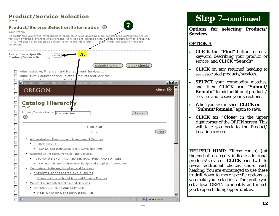| (Test)                          | <b>Product/Service Selection</b>                                                                                                                                                                                                                                                                                                                              |                             |
|---------------------------------|---------------------------------------------------------------------------------------------------------------------------------------------------------------------------------------------------------------------------------------------------------------------------------------------------------------------------------------------------------------|-----------------------------|
| Your Profile<br>selection.      | Product/Service Selection Information ©<br>Opportunities are cross-referenced to product/service groupings. Select the product/service groups<br>.for your offerings. Professional/Personal services are included within each product/service grouping<br>An 'X' indicates a selection at a lower level in the hierarchy. A 'checkmark' indicates an explicit |                             |
|                                 | Search for a Specific<br><b>A.</b><br>Find )<br>Product/Service Grouping                                                                                                                                                                                                                                                                                      |                             |
|                                 | Submit/Remain)<br><b>Clear Checks</b><br>Administrative, Financial, and Management Services<br>Agricultural Equipment and Related Products and Services                                                                                                                                                                                                       |                             |
| Е<br>Г<br>Г                     | $\label{eq:conformal} \mathcal{O}(n+2k+1) = \mathcal{O}(n+2k+1) + \mathcal{O}(n+2k+1) + \mathcal{O}(n+1) + \mathcal{O}(n+2k+1) + \mathcal{O}(n+1)$<br><b>C</b> Catalog Hierarchy - Microsoft Interne<br><b>Explorer provided by DAS</b><br>OREGON                                                                                                             | $\Box$<br>Close $\circledR$ |
| $\Box$<br>П<br>П<br>П<br>П<br>П | <b>Catalog Hierarchy</b><br>(Test)<br>Product/Service Name hinstruction<br>Search<br>⊙                                                                                                                                                                                                                                                                        |                             |
| $\Box$<br>0000                  | $1 - 30 / 40$<br>$1\quad2$<br>Administrative, Financial, and Management Services                                                                                                                                                                                                                                                                              | Next                        |
| $\Box$<br>$\Box$<br>П           | • HUMAN SERVICES<br>• Training and Instruction (For Clients, Not Staff)<br>Automotive Products, Vehicles, and Services<br>• AUTOMOTIVE SHOP AND RELATED EQUIPMENT AND SUPPLIES<br>• Training Aids and Instructional Equip, and Supplies, Automotive                                                                                                           |                             |
| г<br>Г<br>г                     | • Computers, Software, Supplies, and Services<br><b>COMPUTER ACCESSORIES AND SUPPLIES</b><br>Computer Instructional Aids and Training Devices<br>Medical Equipment, Supplies, and Services                                                                                                                                                                    |                             |
| 0000                            | DENTAL EQUIPMENT AND SUPPLIES<br><u>Models, Manikins, and Instructional Aids</u><br>Local intranet                                                                                                                                                                                                                                                            |                             |

## **Step 7—***continued*

**Options for selecting Products/ Services:** 

### **OPTION A**

- *CLICK* the **"Find"** button, enter a keyword describing your product or service, and *CLICK* **"Search".**
- *CLICK* on any returned heading to see associated products/services.
- *SELECT* your commodity matches, and then *CLICK* **on "Submit/ Remain"** to add additional products/ services and to save your selections.
- When you are finished, *CLICK* **on "Submit/Remain"** again to save.
- *CLICK* **on "Close"** in the upper right corner of the ORPIN screen. This will take you back to the Product/ Location screen.

*HELPFUL HINT:* Ellipse icons **(…)** at the end of a category indicate additional products/services. *CLICK* **on (…)** to reveal additional choices under each heading. You are encouraged to use these to drill down to more specific options as you make your selections. The profile you set allows ORPIN to identify and match you to open bidding opportunities.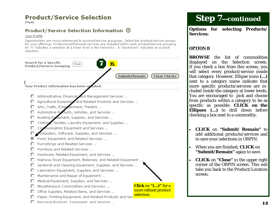## **Product/Service Selection**

(Test)

### Product/Service Selection Information ©

#### Your Profile

Opportunities are cross-referenced to product/service groupings. Select the product/service groups for your offerings. Professional/Personal services are included within each product/service grouping. An 'X' indicates a selection at a lower level in the hierarchy. A 'checkmark' indicates an explicit selection.



## **Step 7—***continued*

**Options for selecting Products/ Services:** 

### **OPTION B**

*BROWSE* the list of commodities displayed on the Selection screen. If you check a box from this screen, you will select every product/service inside that category. However, Ellipse icons **(…)**  next to a category name indicate that more specific products/services are included inside the category at lower levels. You are encouraged to pick and choose from products within a category to be as specific as possible. *CLICK* **on the Ellipses (…)** to drill down before checking a box next to a commodity.

- *CLICK* on **"Submit/ Remain"** to add additional products/services and to save your selections in ORPIN.
- $\bullet$  When you are finished, *CLICK* on **"Submit/Remain"** again to save.
- *CLICK* on **"Close"** in the upper right corner of the ORPIN screen. This will take you back to the Product/Location screen.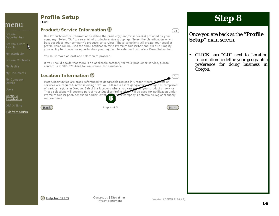**Browse** 

Browse Award

k

**Browse Contracts** 

My Documents

Details

Users:

Continue **Registration** 

ORPIN Time

Exit from ORPIN

#### **Profile Setup** (Test)

### Product/Service Information ©

Use Product/Service Information to define the product(s) and/or service(s) provided by your company, Select "Go" to see a list of product/service groupings, Select the classification which best describes your company's products or services. These selections will create your supplier profile which will be used for email notification for a Premium Subscriber and will also simplify your ability to browse for opportunities you may be interested in if you are a Basic Subscriber.

You must make at least one selection to proceed.

If you should decide that there is no applicable category for your product or service, please contact us at 503-378-4642 for assistance, for assistance,

## Location Information 2

Go

Most Opportunities are cross-referenced to geographic regions in Oregon where pre services are required. After selecting "Go" you will see a list of geographical categories comprised of various regions in Oregon. Select the locations where you can superly your product or service. These selections will become part of your Supplier Profile which will be used for notification under Premium Subscription described earlier establi wear company's potential to regional supply requirements.

(Back)

Step 4 of 5



Go)

# **Step 8**

Once you are back at the "Profile" **Setup**" main screen,

• **CLICK** on "GO" next to Location Information to define your geographic preference for doing business in Oregon.

(?) Help for ORPIN

Contact Us | Disclaimer Privacy Statement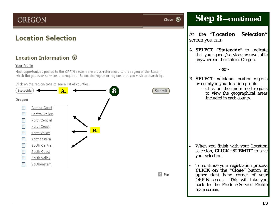## OREGON

## **Location Selection**

## Location Information (?)

### Your Profile

Most opportunities posted to the ORPIN system are cross-referenced to the region of the State in which the goods or services are required. Select the region or regions that you wish to search by.





Close  $\circledR$ 

## **Step 8 —***continued*

At the **"Location Selection"** screen you can:

A. *SELECT* **"Statewide"** to indicate that your goods/services are available anywhere in the state of Oregon.

 **- or -** 

- B. *SELECT* individual location regions by county in your location profile.
	- Click on the underlined regions to view the geographical areas included in each county.

- $\bullet$  When you finish with your Location selection, *CLICK* **"SUBMIT"** to save your selection.
- To continue your registration process *CLICK* **on the "Close"** button in upper right hand corner of your ORPIN screen. This will take you back to the Product/Service Profile main screen.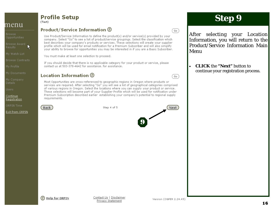**Browse** 

Browse Award

**Browse Contracts** 

My Documents

Details

Users:

Continue **Registration** 

ORPIN Time

Exit from ORPIN

#### **Profile Setup** (Test)

### Product/Service Information ②

Use Product/Service Information to define the product(s) and/or service(s) provided by your company, Select "Go" to see a list of product/service groupings, Select the classification which best describes your company's products or services. These selections will create your supplier profile which will be used for email notification for a Premium Subscriber and will also simplify your ability to browse for opportunities you may be interested in if you are a Basic Subscriber.

You must make at least one selection to proceed.

If you should decide that there is no applicable category for your product or service, please contact us at 503-378-4642 for assistance, for assistance,

## Location Information 2

Go<sup>1</sup>

Go)

Most Opportunities are cross-referenced to geographic regions in Oregon where products or services are required. After selecting "Go" you will see a list of geographical categories comprised of various regions in Oregon. Select the locations where you can supply your product or service. These selections will become part of your Supplier Profile which will be used for notification under Premium Subscription described earlier establishing your company's potential to regional supply requirements.

| Step 4 of 5 | Next                          |
|-------------|-------------------------------|
|             |                               |
|             | O<br>$\overline{\phantom{a}}$ |

## **Step 9**

After selecting your Location Information, you will return to the Product/Service Information Main Menu

**CLICK** the "Next" button to continue your registration process.



(Back)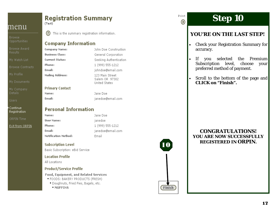**Browse** Opportunities

**Browse Award** 

My Watch List

**Browse Contracts** 

My Documents

My Company **Details** 

**Users** 

Continue **Registration** 

ORPIN Time

**Exit from ORPIN** 

## **Registration Summary**  $(Test)$

 $(?)$ This is the summary registration information.

### **Company Information**

Company Name: **Business Class: Current Status:** Phone: **Mailing Address:** 

**Primary Contact** Name: Email:

Email:

## **Personal Information**

Name: User Name: Phone: Email: Notification Method:

janedoe 1 (999) 555-1212 Email

### **Subscription Level**

Basic Subscription: eBid Service

### **Location Profile**

All Locations

### **Product/Service Profile**

### **Food, Equipment, and Related Services**

- FOODS: BAKERY PRODUCTS (FRESH)
- · Doughnuts, Fried Pies, Bagels, etc.
- MUFFINS

John Doe Construction General Corporation Seeking Authentication 1 (999) 555-1212 johndoe@email.com 123 Main Street Salem OR 97302 **Hoited States** 

Jane Doe janedoe@email.com

Jane Doe ianedoe@email.com



## **Step 10**

## **YOU'RE ON THE LAST STEP!**

- Check your Registration Summary for accuracy.
- Premium If you selected  $\bullet$ the Subscription level, choose vour preferred method of payment.
- Scroll to the bottom of the page and  $\bullet$ CLICK on "Finish".

### **CONGRATULATIONS!** YOU ARE NOW SUCCESSFULLY **REGISTERED IN ORPIN.**

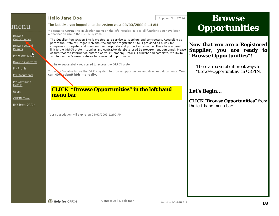#### **Browse**  Hello Jane Doe Supplier No: 27174 The last time you logged onto the system was: 03/03/2008 8:14 AM menu **Opportunities** Welcome to ORPIN The Navigation menu on the left includes links to all functions you have been authorized to use in the ORPIN system. Opportunities The Supplier Registration Site is created as a service to suppliers and contractors. Accessible as part of the State of Oregon web site, the supplier registration site is provided as a way for **Now that you are a Registered**  Browse Award companies to register and maintain their corporate and product information. This site is a direct **Supplier, you are ready to**  link to the ORPIN system supplier and contractor database used by procurement personnel. Please ensure that the information entered as your Company Details is current and complete. We invite **"Browse Opportunities"!**  My Watch List you to use the Browse features to review bid opportunities. **Browse Contracts** au have successfully registered to access the ORPIN system. There are several different ways to "Browse Opportunities" in ORPIN. You all NOW able to use the ORPIN system to browse opportunities and download documents. You can NOW submit bids manually. My Documents My Company *CLICK* **"Browse Opportunities" in the left hand Let's Begin… menu bar** *CLICK* **"Browse Opportunities"** from Exit from ORPIN the left-hand menu bar.

Your subscription will expire on 03/03/2009 12:00 AM.

**Browse** 

**Results** 

My Profile

**Details Users** 

ORPIN Time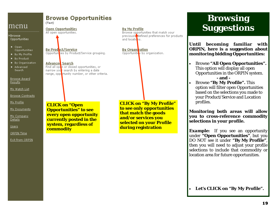Browse Opportunities

- $\bullet$  Open. Opportunities
- · By My Profile
- · By Product
- · By Organization
- · Advanced Search

**Browse Award** Results

My Watch List

**Browse Contracts** 

My Profile

My Documents

My Company Details

Users

ORPIN Time

Exit from ORPIN.

**Browse Opportunities** (Test)

**Open Opportunities** All open opportunities.

**By Product/Service** Opportunties by Product/Service grouping.

Advance Search Find all optin or closed opportunities, or narrow your search by entering a date range, oppertunity number, or other criteria.

*CLICK* **on "Open Opportunities" to see every open opportunity currently posted in the system, regardless of commodity** 

*CLICK* **on "By My Profile" to see only opportunities that match the goods and/or services you selected on your Profile during registration** 

**By My Profile** 

and locations.

**By Organization** 

Opportunities by organization.

Browse opportunities that match your previously defined preferences for products

# **Browsing Suggestions**

**Until becoming familiar with ORPIN, here is a suggestion about monitoring bidding Opportunities:** 

- $\bullet$  Browse **"All Open Opportunities".**  This option will display all open Opportunities in the ORPIN system.  **- and -**
- Browse **"By My Profile".** This option will filter open Opportunities based on the selections you made to your Product/Service and Location profiles.

**Monitoring both areas will allow you to cross-reference commodity selections in your profile.** 

*Example:* If you see an opportunity under **"Open Opportunities"**, but you *DO NOT* see it under **"By My Profile"**, then you will need to adjust your profile selections to include that commodity or location area for future opportunities.

**Let's** *CLICK* **on "By My Profile".**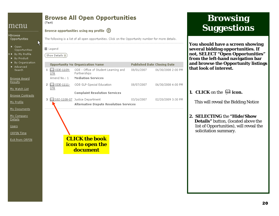#### **Browsing Browse All Open Opportunities** (Test) **Suggestions** menu Browse opportunities using my profile (?) ▶Browse The following is a list of all open opportunities. Click on the Opportunity number for more details. Opportunities K **You should have a screen showing**  ● Open **several bidding opportunities. If**  田 Legend Opportunities **not,** *SELECT* **"Open Opportunities"**  . By My Profile (Show Details ::: ) **from the left-hand navigation bar**  · By Product · By Organization **and browse the Opportunity listings Opportunity No Organization Name Published Date Closing Date** · Advanced **that look of interest.**  $1 \bigoplus \text{ODE-1109}$ ODE - Office of Student Learning and 06/30/2008 2:00 PM Search 08/01/2007 07R Partnerships Amend No.: 1 **Mediation Services Browse Award Results** 2  $\Box$  ODE-1111-ODE-SLP-Special Education 08/07/2007 06/30/2008 4:00 PM My Watch List 07R **1.** *CLICK* on the **icon. Complaint Resolution Services Browse Contracts** 3 QQ 102-1108-07 Justice Department 03/16/2007 02/20/2009 3:30 PM This will reveal the Bidding Notice My Profile **Alternative Dispute Resolution Services** My Documents **2.** *SELECTING* the **"Hide/Show** My Company Details  **Details"** button, (located above the list of Opportunities), will reveal the Users solicitation summary. ORPIN Time *CLICK the book* Exit from ORPIN *icon to open the document*